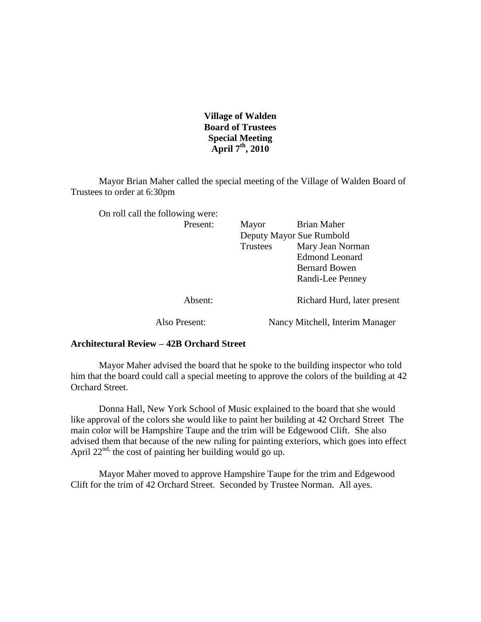**Village of Walden Board of Trustees Special Meeting April 7th, 2010**

Mayor Brian Maher called the special meeting of the Village of Walden Board of Trustees to order at 6:30pm

| On roll call the following were: |               |                          |                                 |
|----------------------------------|---------------|--------------------------|---------------------------------|
|                                  | Present:      | Mayor                    | Brian Maher                     |
|                                  |               | Deputy Mayor Sue Rumbold |                                 |
|                                  |               | Trustees                 | Mary Jean Norman                |
|                                  |               |                          | <b>Edmond Leonard</b>           |
|                                  |               |                          | <b>Bernard Bowen</b>            |
|                                  |               |                          | Randi-Lee Penney                |
|                                  | Absent:       |                          | Richard Hurd, later present     |
|                                  | Also Present: |                          | Nancy Mitchell, Interim Manager |

## **Architectural Review – 42B Orchard Street**

Mayor Maher advised the board that he spoke to the building inspector who told him that the board could call a special meeting to approve the colors of the building at 42 Orchard Street.

Donna Hall, New York School of Music explained to the board that she would like approval of the colors she would like to paint her building at 42 Orchard Street The main color will be Hampshire Taupe and the trim will be Edgewood Clift. She also advised them that because of the new ruling for painting exteriors, which goes into effect April  $22^{nd}$ , the cost of painting her building would go up.

Mayor Maher moved to approve Hampshire Taupe for the trim and Edgewood Clift for the trim of 42 Orchard Street. Seconded by Trustee Norman. All ayes.